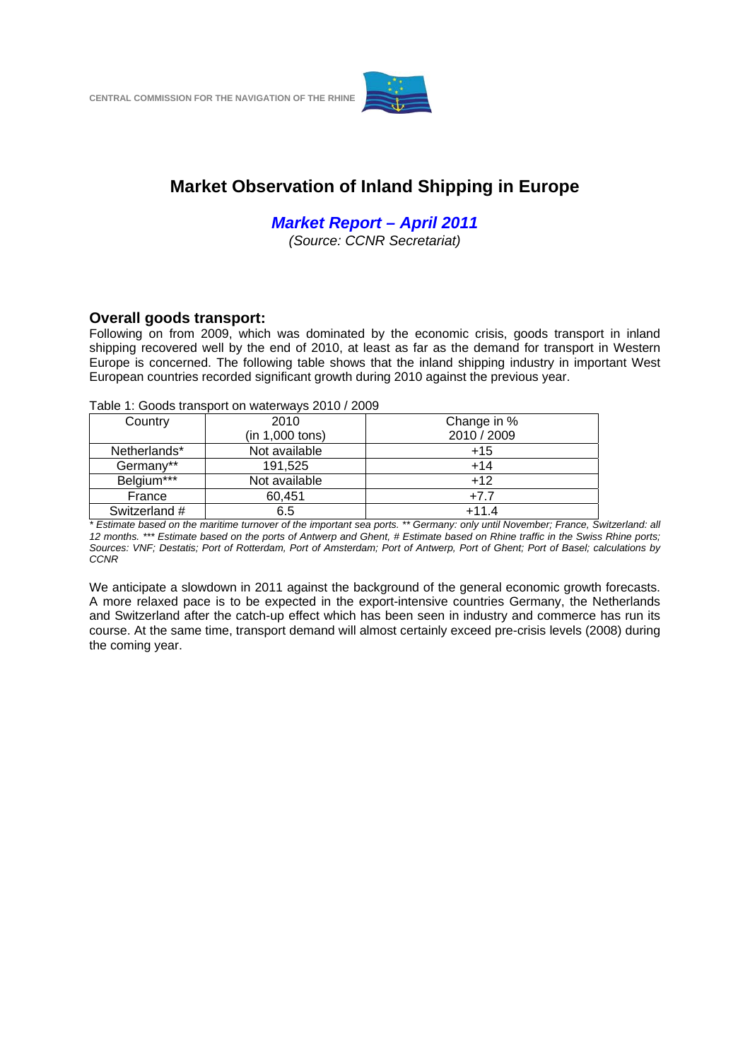

# **Market Observation of Inland Shipping in Europe**

*Market Report – April 2011* 

*(Source: CCNR Secretariat)*

## **Overall goods transport:**

Following on from 2009, which was dominated by the economic crisis, goods transport in inland shipping recovered well by the end of 2010, at least as far as the demand for transport in Western Europe is concerned. The following table shows that the inland shipping industry in important West European countries recorded significant growth during 2010 against the previous year.

Table 1: Goods transport on waterways 2010 / 2009

| Country       | 2010            | Change in % |
|---------------|-----------------|-------------|
|               | (in 1,000 tons) | 2010 / 2009 |
| Netherlands*  | Not available   | $+15$       |
| Germany**     | 191,525         | $+14$       |
| Belgium***    | Not available   | $+12$       |
| France        | 60,451          | $+7.7$      |
| Switzerland # | 6.5             | $+11.4$     |
|               |                 |             |

*\* Estimate based on the maritime turnover of the important sea ports. \*\* Germany: only until November; France, Switzerland: all 12 months. \*\*\* Estimate based on the ports of Antwerp and Ghent, # Estimate based on Rhine traffic in the Swiss Rhine ports; Sources: VNF; Destatis; Port of Rotterdam, Port of Amsterdam; Port of Antwerp, Port of Ghent; Port of Basel; calculations by CCNR*

We anticipate a slowdown in 2011 against the background of the general economic growth forecasts. A more relaxed pace is to be expected in the export-intensive countries Germany, the Netherlands and Switzerland after the catch-up effect which has been seen in industry and commerce has run its course. At the same time, transport demand will almost certainly exceed pre-crisis levels (2008) during the coming year.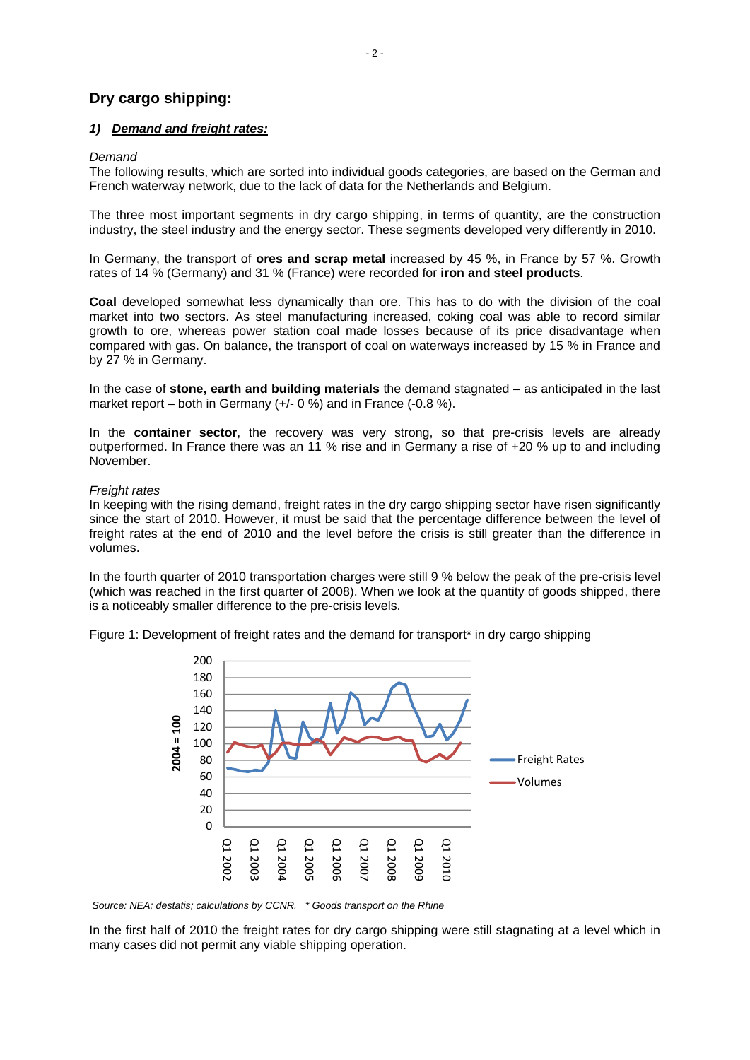# **Dry cargo shipping:**

#### *1) Demand and freight rates:*

#### *Demand*

The following results, which are sorted into individual goods categories, are based on the German and French waterway network, due to the lack of data for the Netherlands and Belgium.

The three most important segments in dry cargo shipping, in terms of quantity, are the construction industry, the steel industry and the energy sector. These segments developed very differently in 2010.

In Germany, the transport of **ores and scrap metal** increased by 45 %, in France by 57 %. Growth rates of 14 % (Germany) and 31 % (France) were recorded for **iron and steel products**.

**Coal** developed somewhat less dynamically than ore. This has to do with the division of the coal market into two sectors. As steel manufacturing increased, coking coal was able to record similar growth to ore, whereas power station coal made losses because of its price disadvantage when compared with gas. On balance, the transport of coal on waterways increased by 15 % in France and by 27 % in Germany.

In the case of **stone, earth and building materials** the demand stagnated – as anticipated in the last market report – both in Germany (+/- 0 %) and in France (-0.8 %).

In the **container sector**, the recovery was very strong, so that pre-crisis levels are already outperformed. In France there was an 11 % rise and in Germany a rise of +20 % up to and including November.

#### *Freight rates*

In keeping with the rising demand, freight rates in the dry cargo shipping sector have risen significantly since the start of 2010. However, it must be said that the percentage difference between the level of freight rates at the end of 2010 and the level before the crisis is still greater than the difference in volumes.

In the fourth quarter of 2010 transportation charges were still 9 % below the peak of the pre-crisis level (which was reached in the first quarter of 2008). When we look at the quantity of goods shipped, there is a noticeably smaller difference to the pre-crisis levels.

Figure 1: Development of freight rates and the demand for transport\* in dry cargo shipping



 *Source: NEA; destatis; calculations by CCNR. \* Goods transport on the Rhine* 

In the first half of 2010 the freight rates for dry cargo shipping were still stagnating at a level which in many cases did not permit any viable shipping operation.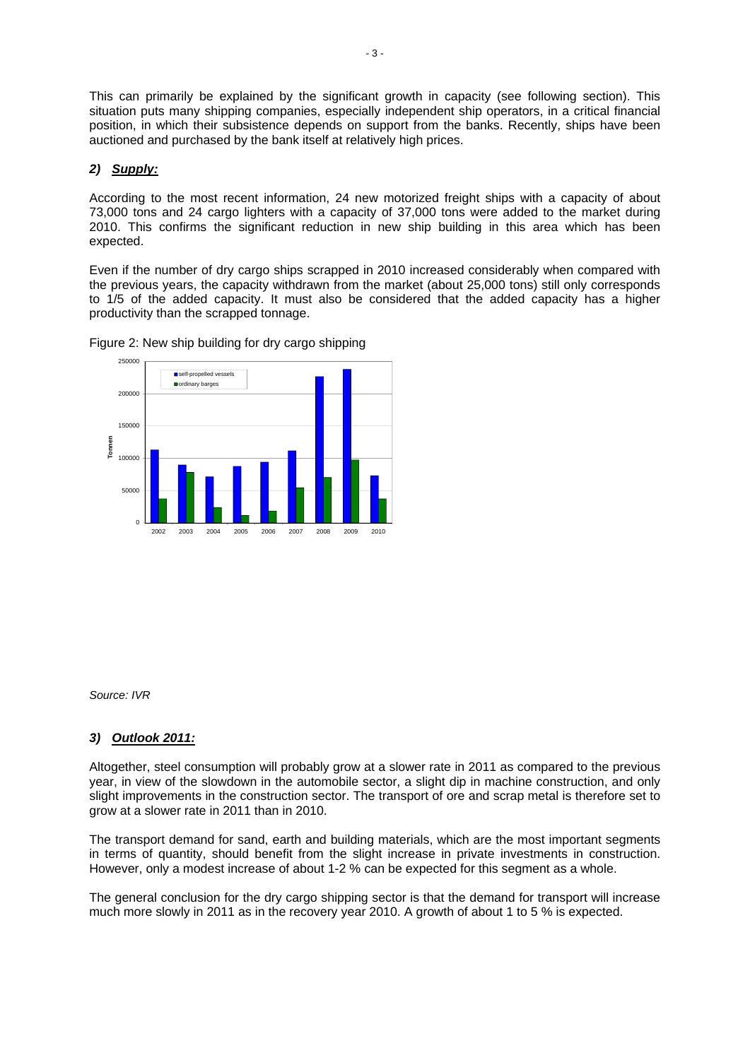This can primarily be explained by the significant growth in capacity (see following section). This situation puts many shipping companies, especially independent ship operators, in a critical financial position, in which their subsistence depends on support from the banks. Recently, ships have been auctioned and purchased by the bank itself at relatively high prices.

#### *2) Supply:*

According to the most recent information, 24 new motorized freight ships with a capacity of about 73,000 tons and 24 cargo lighters with a capacity of 37,000 tons were added to the market during 2010. This confirms the significant reduction in new ship building in this area which has been expected.

Even if the number of dry cargo ships scrapped in 2010 increased considerably when compared with the previous years, the capacity withdrawn from the market (about 25,000 tons) still only corresponds to 1/5 of the added capacity. It must also be considered that the added capacity has a higher productivity than the scrapped tonnage.



Figure 2: New ship building for dry cargo shipping

*Source: IVR*

#### *3) Outlook 2011:*

Altogether, steel consumption will probably grow at a slower rate in 2011 as compared to the previous year, in view of the slowdown in the automobile sector, a slight dip in machine construction, and only slight improvements in the construction sector. The transport of ore and scrap metal is therefore set to grow at a slower rate in 2011 than in 2010.

The transport demand for sand, earth and building materials, which are the most important segments in terms of quantity, should benefit from the slight increase in private investments in construction. However, only a modest increase of about 1-2 % can be expected for this segment as a whole.

The general conclusion for the dry cargo shipping sector is that the demand for transport will increase much more slowly in 2011 as in the recovery year 2010. A growth of about 1 to 5 % is expected.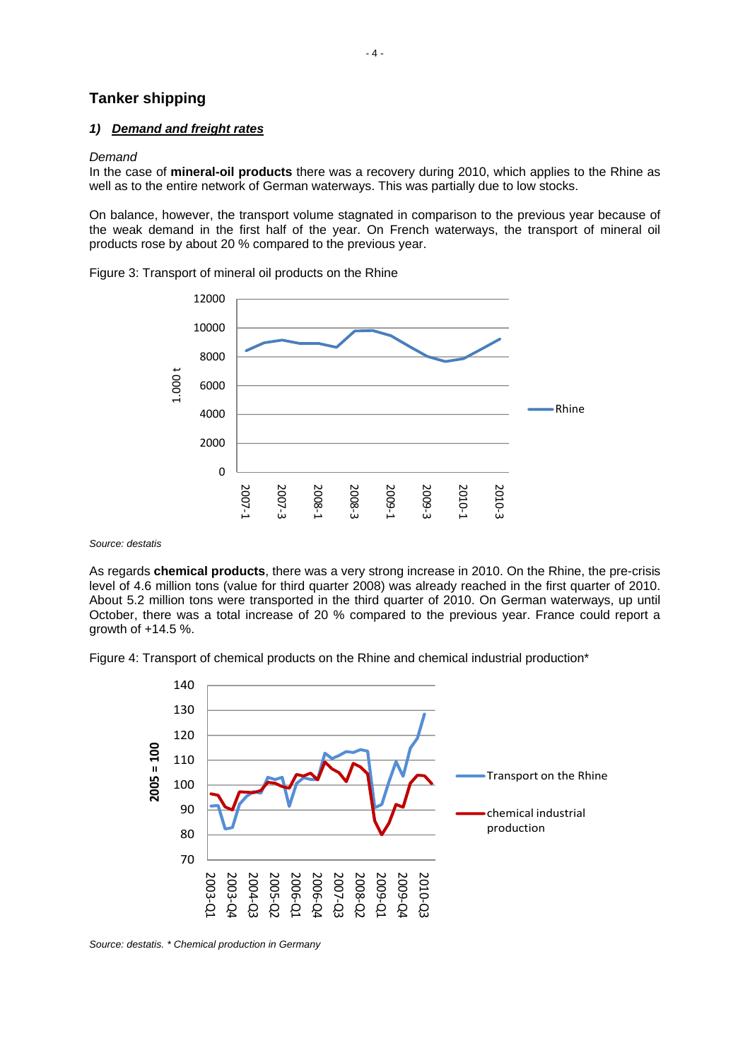## **Tanker shipping**

#### *1) Demand and freight rates*

#### *Demand*

In the case of **mineral-oil products** there was a recovery during 2010, which applies to the Rhine as well as to the entire network of German waterways. This was partially due to low stocks.

On balance, however, the transport volume stagnated in comparison to the previous year because of the weak demand in the first half of the year. On French waterways, the transport of mineral oil products rose by about 20 % compared to the previous year.

Figure 3: Transport of mineral oil products on the Rhine



*Source: destatis*

As regards **chemical products**, there was a very strong increase in 2010. On the Rhine, the pre-crisis level of 4.6 million tons (value for third quarter 2008) was already reached in the first quarter of 2010. About 5.2 million tons were transported in the third quarter of 2010. On German waterways, up until October, there was a total increase of 20 % compared to the previous year. France could report a growth of +14.5 %.

Figure 4: Transport of chemical products on the Rhine and chemical industrial production\*



*Source: destatis. \* Chemical production in Germany*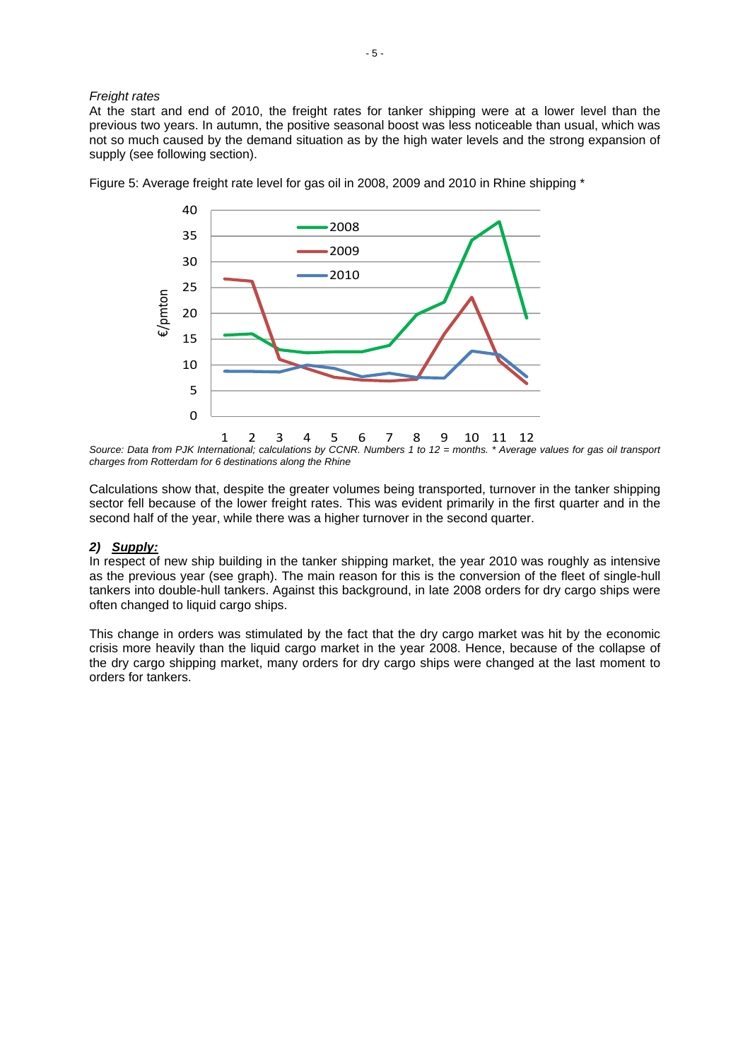#### *Freight rates*

At the start and end of 2010, the freight rates for tanker shipping were at a lower level than the previous two years. In autumn, the positive seasonal boost was less noticeable than usual, which was not so much caused by the demand situation as by the high water levels and the strong expansion of supply (see following section).



Figure 5: Average freight rate level for gas oil in 2008, 2009 and 2010 in Rhine shipping \*

1 2 3 4 5 6 7 8 9 10 11 12 *Source: Data from PJK International; calculations by CCNR. Numbers 1 to 12 = months. \* Average values for gas oil transport charges from Rotterdam for 6 destinations along the Rhine* 

Calculations show that, despite the greater volumes being transported, turnover in the tanker shipping sector fell because of the lower freight rates. This was evident primarily in the first quarter and in the second half of the year, while there was a higher turnover in the second quarter.

#### *2) Supply:*

In respect of new ship building in the tanker shipping market, the year 2010 was roughly as intensive as the previous year (see graph). The main reason for this is the conversion of the fleet of single-hull tankers into double-hull tankers. Against this background, in late 2008 orders for dry cargo ships were often changed to liquid cargo ships.

This change in orders was stimulated by the fact that the dry cargo market was hit by the economic crisis more heavily than the liquid cargo market in the year 2008. Hence, because of the collapse of the dry cargo shipping market, many orders for dry cargo ships were changed at the last moment to orders for tankers.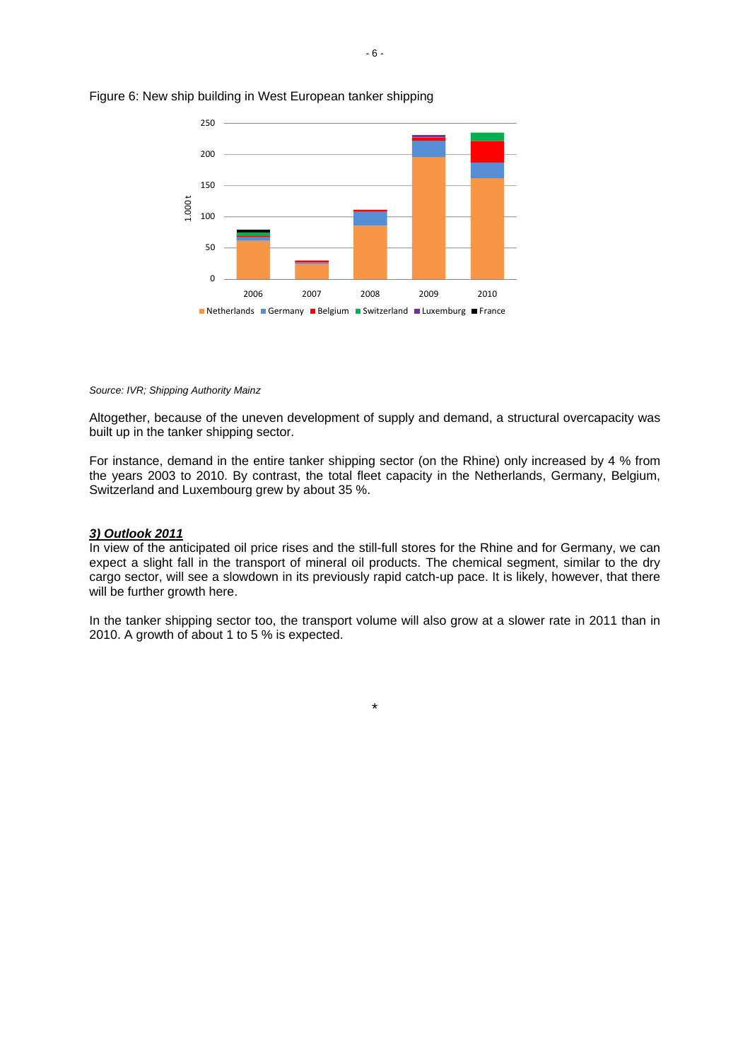

#### Figure 6: New ship building in West European tanker shipping

#### *Source: IVR; Shipping Authority Mainz*

Altogether, because of the uneven development of supply and demand, a structural overcapacity was built up in the tanker shipping sector.

For instance, demand in the entire tanker shipping sector (on the Rhine) only increased by 4 % from the years 2003 to 2010. By contrast, the total fleet capacity in the Netherlands, Germany, Belgium, Switzerland and Luxembourg grew by about 35 %.

#### *3) Outlook 2011*

In view of the anticipated oil price rises and the still-full stores for the Rhine and for Germany, we can expect a slight fall in the transport of mineral oil products. The chemical segment, similar to the dry cargo sector, will see a slowdown in its previously rapid catch-up pace. It is likely, however, that there will be further growth here.

In the tanker shipping sector too, the transport volume will also grow at a slower rate in 2011 than in 2010. A growth of about 1 to 5 % is expected.

\*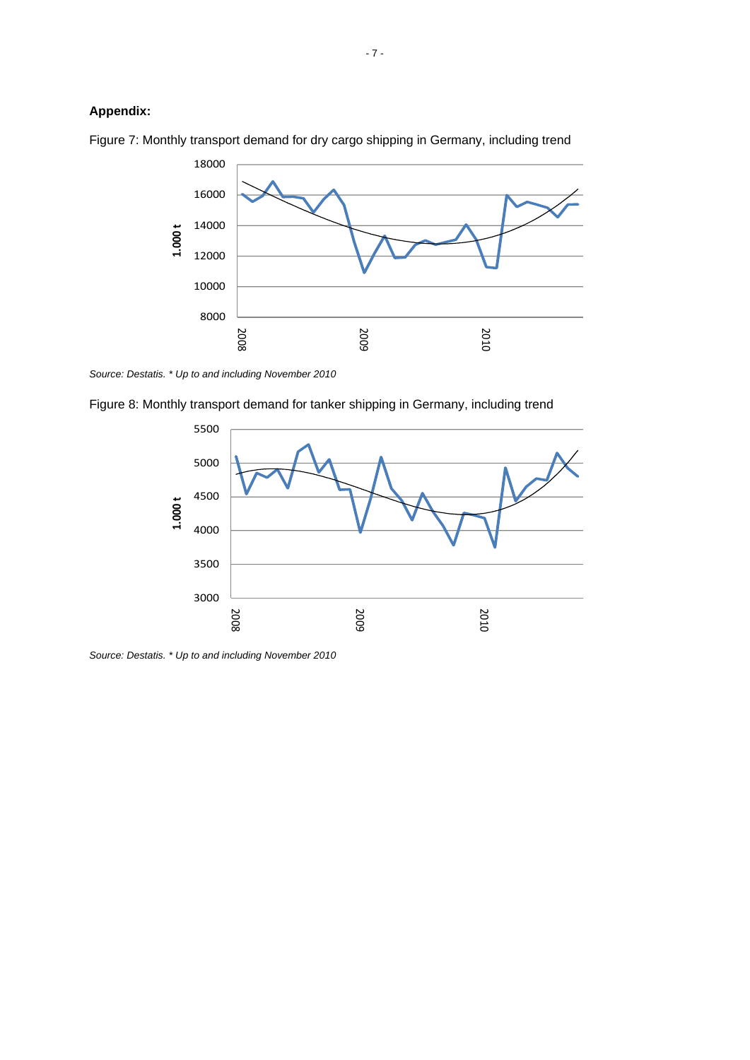## **Appendix:**



Figure 7: Monthly transport demand for dry cargo shipping in Germany, including trend

*Source: Destatis. \* Up to and including November 2010*





*Source: Destatis. \* Up to and including November 2010*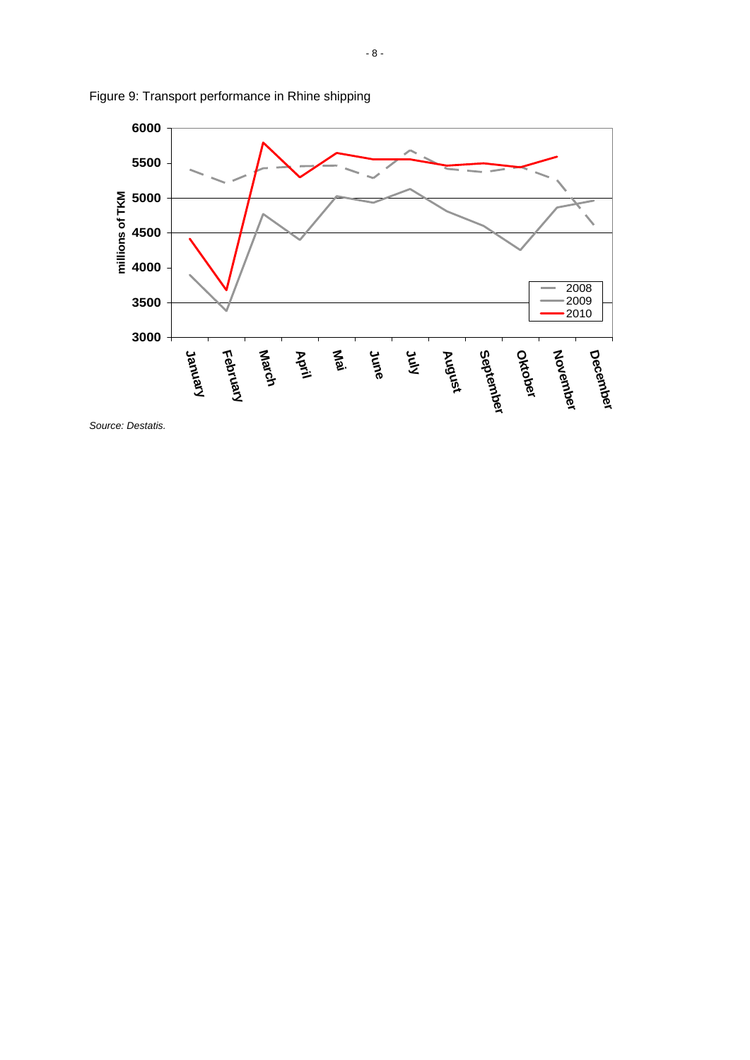

Figure 9: Transport performance in Rhine shipping

*Source: Destatis.*